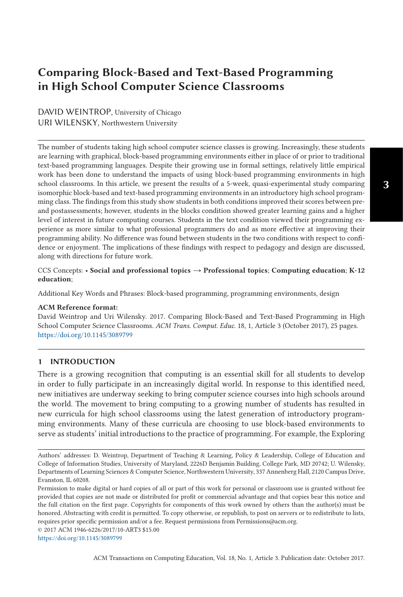# Comparing Block-Based and Text-Based Programming in High School Computer Science Classrooms

DAVID WEINTROP, University of Chicago URI WILENSKY, Northwestern University

The number of students taking high school computer science classes is growing. Increasingly, these students are learning with graphical, block-based programming environments either in place of or prior to traditional text-based programming languages. Despite their growing use in formal settings, relatively little empirical work has been done to understand the impacts of using block-based programming environments in high school classrooms. In this article, we present the results of a 5-week, quasi-experimental study comparing isomorphic block-based and text-based programming environments in an introductory high school programming class. The fndings from this study show students in both conditions improved their scores between preand postassessments; however, students in the blocks condition showed greater learning gains and a higher level of interest in future computing courses. Students in the text condition viewed their programming experience as more similar to what professional programmers do and as more efective at improving their programming ability. No diference was found between students in the two conditions with respect to confdence or enjoyment. The implications of these fndings with respect to pedagogy and design are discussed, along with directions for future work.

# CCS Concepts: • Social and professional topics  $\rightarrow$  Professional topics; Computing education; K-12 education;

Additional Key Words and Phrases: Block-based programming, programming environments, design

# ACM Reference format:

David Weintrop and Uri Wilensky. 2017. Comparing Block-Based and Text-Based Programming in High School Computer Science Classrooms. *ACM Trans. Comput. Educ.* 18, 1, Article 3 (October 2017), 25 pages. <https://doi.org/10.1145/3089799>

## 1 INTRODUCTION

There is a growing recognition that computing is an essential skill for all students to develop in order to fully participate in an increasingly digital world. In response to this identifed need, new initiatives are underway seeking to bring computer science courses into high schools around the world. The movement to bring computing to a growing number of students has resulted in new curricula for high school classrooms using the latest generation of introductory programming environments. Many of these curricula are choosing to use block-based environments to serve as students' initial introductions to the practice of programming. For example, the Exploring

© 2017 ACM 1946-6226/2017/10-ART3 \$15.00

<https://doi.org/10.1145/3089799>

Authors' addresses: D. Weintrop, Department of Teaching & Learning, Policy & Leadership, College of Education and College of Information Studies, University of Maryland, 2226D Benjamin Building, College Park, MD 20742; U. Wilensky, Departments of Learning Sciences & Computer Science, Northwestern University, 337 Annenberg Hall, 2120 Campus Drive, Evanston, IL 60208.

Permission to make digital or hard copies of all or part of this work for personal or classroom use is granted without fee provided that copies are not made or distributed for proft or commercial advantage and that copies bear this notice and the full citation on the frst page. Copyrights for components of this work owned by others than the author(s) must be honored. Abstracting with credit is permitted. To copy otherwise, or republish, to post on servers or to redistribute to lists, requires prior specifc permission and/or a fee. Request permissions from Permissions@acm.org.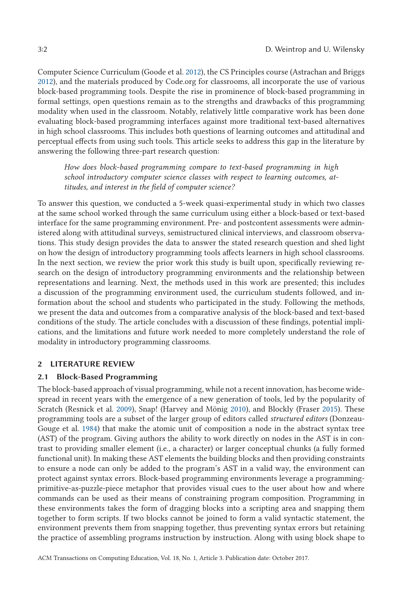Computer Science Curriculum (Goode et al. [2012\)](#page-22-0), the CS Principles course (Astrachan and Briggs [2012\)](#page-22-0), and the materials produced by Code.org for classrooms, all incorporate the use of various block-based programming tools. Despite the rise in prominence of block-based programming in formal settings, open questions remain as to the strengths and drawbacks of this programming modality when used in the classroom. Notably, relatively little comparative work has been done evaluating block-based programming interfaces against more traditional text-based alternatives in high school classrooms. This includes both questions of learning outcomes and attitudinal and perceptual efects from using such tools. This article seeks to address this gap in the literature by answering the following three-part research question:

*How does block-based programming compare to text-based programming in high school introductory computer science classes with respect to learning outcomes, attitudes, and interest in the* f*eld of computer science?*

To answer this question, we conducted a 5-week quasi-experimental study in which two classes at the same school worked through the same curriculum using either a block-based or text-based interface for the same programming environment. Pre- and postcontent assessments were administered along with attitudinal surveys, semistructured clinical interviews, and classroom observations. This study design provides the data to answer the stated research question and shed light on how the design of introductory programming tools afects learners in high school classrooms. In the next section, we review the prior work this study is built upon, specifcally reviewing research on the design of introductory programming environments and the relationship between representations and learning. Next, the methods used in this work are presented; this includes a discussion of the programming environment used, the curriculum students followed, and information about the school and students who participated in the study. Following the methods, we present the data and outcomes from a comparative analysis of the block-based and text-based conditions of the study. The article concludes with a discussion of these fndings, potential implications, and the limitations and future work needed to more completely understand the role of modality in introductory programming classrooms.

# 2 LITERATURE REVIEW

## 2.1 Block-Based Programming

The block-based approach of visual programming, while not a recent innovation, has become widespread in recent years with the emergence of a new generation of tools, led by the popularity of Scratch (Resnick et al. [2009\)](#page-23-0), Snap! (Harvey and Mönig [2010\)](#page-23-0), and Blockly (Fraser [2015\)](#page-22-0). These programming tools are a subset of the larger group of editors called *structured editors* (Donzeau-Gouge et al. [1984\)](#page-22-0) that make the atomic unit of composition a node in the abstract syntax tree (AST) of the program. Giving authors the ability to work directly on nodes in the AST is in contrast to providing smaller element (i.e., a character) or larger conceptual chunks (a fully formed functional unit). In making these AST elements the building blocks and then providing constraints to ensure a node can only be added to the program's AST in a valid way, the environment can protect against syntax errors. Block-based programming environments leverage a programmingprimitive-as-puzzle-piece metaphor that provides visual cues to the user about how and where commands can be used as their means of constraining program composition. Programming in these environments takes the form of dragging blocks into a scripting area and snapping them together to form scripts. If two blocks cannot be joined to form a valid syntactic statement, the environment prevents them from snapping together, thus preventing syntax errors but retaining the practice of assembling programs instruction by instruction. Along with using block shape to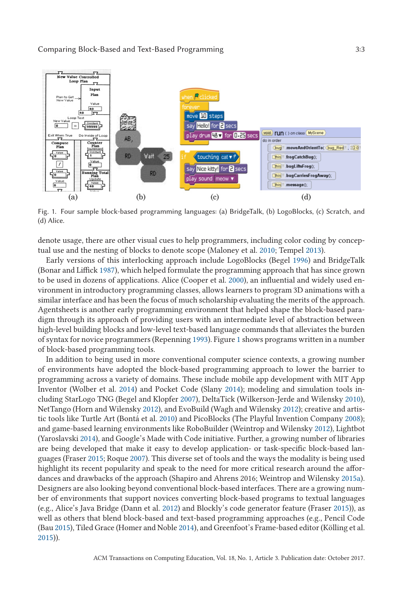

Fig. 1. Four sample block-based programming languages: (a) BridgeTalk, (b) LogoBlocks, (c) Scratch, and (d) Alice.

denote usage, there are other visual cues to help programmers, including color coding by conceptual use and the nesting of blocks to denote scope (Maloney et al. [2010;](#page-23-0) Tempel [2013\)](#page-24-0).

Early versions of this interlocking approach include LogoBlocks (Begel [1996\)](#page-22-0) and BridgeTalk (Bonar and Lifck [1987\)](#page-22-0), which helped formulate the programming approach that has since grown to be used in dozens of applications. Alice (Cooper et al. [2000\)](#page-22-0), an infuential and widely used environment in introductory programming classes, allows learners to program 3D animations with a similar interface and has been the focus of much scholarship evaluating the merits of the approach. Agentsheets is another early programming environment that helped shape the block-based paradigm through its approach of providing users with an intermediate level of abstraction between high-level building blocks and low-level text-based language commands that alleviates the burden of syntax for novice programmers (Repenning [1993\)](#page-23-0). Figure 1 shows programs written in a number of block-based programming tools.

In addition to being used in more conventional computer science contexts, a growing number of environments have adopted the block-based programming approach to lower the barrier to programming across a variety of domains. These include mobile app development with MIT App Inventor (Wolber et al. [2014\)](#page-24-0) and Pocket Code (Slany [2014\)](#page-23-0); modeling and simulation tools including StarLogo TNG (Begel and Klopfer [2007\)](#page-22-0), DeltaTick (Wilkerson-Jerde and Wilensky [2010\)](#page-24-0), NetTango (Horn and Wilensky [2012\)](#page-23-0), and EvoBuild (Wagh and Wilensky [2012\)](#page-24-0); creative and artistic tools like Turtle Art (Bontá et al. [2010\)](#page-22-0) and PicoBlocks (The Playful Invention Company [2008\)](#page-24-0); and game-based learning environments like RoboBuilder (Weintrop and Wilensky [2012\)](#page-24-0), Lightbot (Yaroslavski [2014\)](#page-24-0), and Google's Made with Code initiative. Further, a growing number of libraries are being developed that make it easy to develop application- or task-specifc block-based languages (Fraser [2015;](#page-22-0) Roque [2007\)](#page-23-0). This diverse set of tools and the ways the modality is being used highlight its recent popularity and speak to the need for more critical research around the affordances and drawbacks of the approach (Shapiro and Ahrens 2016; Weintrop and Wilensky [2015a\)](#page-24-0). Designers are also looking beyond conventional block-based interfaces. There are a growing number of environments that support novices converting block-based programs to textual languages (e.g., Alice's Java Bridge (Dann et al. [2012\)](#page-22-0) and Blockly's code generator feature (Fraser [2015\)](#page-22-0)), as well as others that blend block-based and text-based programming approaches (e.g., Pencil Code (Bau [2015\)](#page-22-0), Tiled Grace (Homer and Noble [2014\)](#page-23-0), and Greenfoot's Frame-based editor (Kölling et al. [2015\)](#page-23-0)).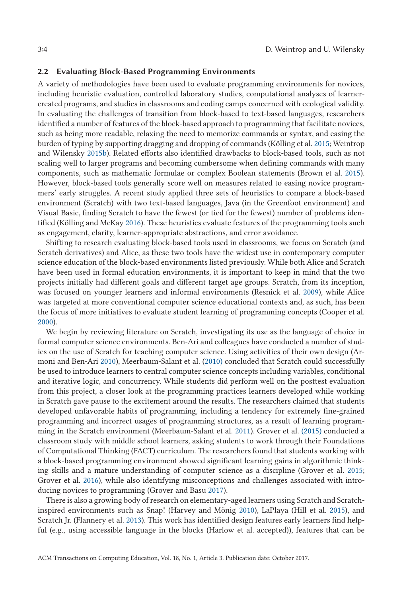## 2.2 Evaluating Block-Based Programming Environments

A variety of methodologies have been used to evaluate programming environments for novices, including heuristic evaluation, controlled laboratory studies, computational analyses of learnercreated programs, and studies in classrooms and coding camps concerned with ecological validity. In evaluating the challenges of transition from block-based to text-based languages, researchers identifed a number of features of the block-based approach to programming that facilitate novices, such as being more readable, relaxing the need to memorize commands or syntax, and easing the burden of typing by supporting dragging and dropping of commands (Kölling et al. [2015;](#page-23-0) Weintrop and Wilensky [2015b\)](#page-24-0). Related eforts also identifed drawbacks to block-based tools, such as not scaling well to larger programs and becoming cumbersome when defning commands with many components, such as mathematic formulae or complex Boolean statements (Brown et al. [2015\)](#page-22-0). However, block-based tools generally score well on measures related to easing novice programmers' early struggles. A recent study applied three sets of heuristics to compare a block-based environment (Scratch) with two text-based languages, Java (in the Greenfoot environment) and Visual Basic, fnding Scratch to have the fewest (or tied for the fewest) number of problems identifed (Kölling and McKay [2016\)](#page-23-0). These heuristics evaluate features of the programming tools such as engagement, clarity, learner-appropriate abstractions, and error avoidance.

Shifting to research evaluating block-based tools used in classrooms, we focus on Scratch (and Scratch derivatives) and Alice, as these two tools have the widest use in contemporary computer science education of the block-based environments listed previously. While both Alice and Scratch have been used in formal education environments, it is important to keep in mind that the two projects initially had diferent goals and diferent target age groups. Scratch, from its inception, was focused on younger learners and informal environments (Resnick et al. [2009\)](#page-23-0), while Alice was targeted at more conventional computer science educational contexts and, as such, has been the focus of more initiatives to evaluate student learning of programming concepts (Cooper et al. [2000\)](#page-22-0).

We begin by reviewing literature on Scratch, investigating its use as the language of choice in formal computer science environments. Ben-Ari and colleagues have conducted a number of studies on the use of Scratch for teaching computer science. Using activities of their own design (Armoni and Ben-Ari [2010\)](#page-22-0), Meerbaum-Salant et al. [\(2010\)](#page-23-0) concluded that Scratch could successfully be used to introduce learners to central computer science concepts including variables, conditional and iterative logic, and concurrency. While students did perform well on the posttest evaluation from this project, a closer look at the programming practices learners developed while working in Scratch gave pause to the excitement around the results. The researchers claimed that students developed unfavorable habits of programming, including a tendency for extremely fne-grained programming and incorrect usages of programming structures, as a result of learning programming in the Scratch environment (Meerbaum-Salant et al. [2011\)](#page-23-0). Grover et al. [\(2015\)](#page-22-0) conducted a classroom study with middle school learners, asking students to work through their Foundations of Computational Thinking (FACT) curriculum. The researchers found that students working with a block-based programming environment showed signifcant learning gains in algorithmic thinking skills and a mature understanding of computer science as a discipline (Grover et al. [2015;](#page-22-0) Grover et al. [2016\)](#page-22-0), while also identifying misconceptions and challenges associated with introducing novices to programming (Grover and Basu [2017\)](#page-22-0).

There is also a growing body of research on elementary-aged learners using Scratch and Scratchinspired environments such as Snap! (Harvey and Mönig [2010\)](#page-23-0), LaPlaya (Hill et al. [2015\)](#page-23-0), and Scratch Jr. (Flannery et al. [2013\)](#page-22-0). This work has identifed design features early learners fnd helpful (e.g., using accessible language in the blocks (Harlow et al. accepted)), features that can be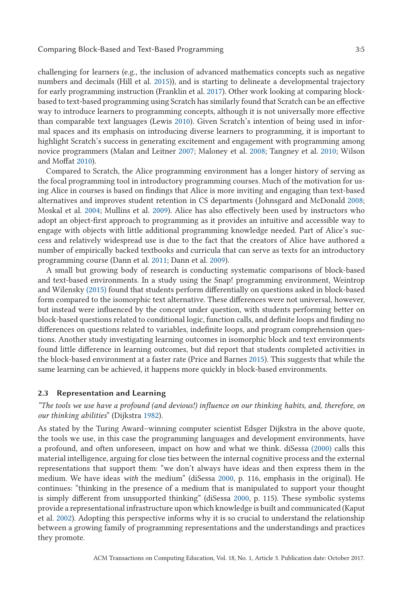challenging for learners (e.g., the inclusion of advanced mathematics concepts such as negative numbers and decimals (Hill et al. [2015\)](#page-23-0)), and is starting to delineate a developmental trajectory for early programming instruction (Franklin et al. [2017\)](#page-22-0). Other work looking at comparing blockbased to text-based programming using Scratch has similarly found that Scratch can be an efective way to introduce learners to programming concepts, although it is not universally more efective than comparable text languages (Lewis [2010\)](#page-23-0). Given Scratch's intention of being used in informal spaces and its emphasis on introducing diverse learners to programming, it is important to highlight Scratch's success in generating excitement and engagement with programming among novice programmers (Malan and Leitner [2007;](#page-23-0) Maloney et al. [2008;](#page-23-0) Tangney et al. [2010;](#page-24-0) Wilson and Mofat [2010\)](#page-24-0).

Compared to Scratch, the Alice programming environment has a longer history of serving as the focal programming tool in introductory programming courses. Much of the motivation for using Alice in courses is based on fndings that Alice is more inviting and engaging than text-based alternatives and improves student retention in CS departments (Johnsgard and McDonald [2008;](#page-23-0) Moskal et al. [2004;](#page-23-0) Mullins et al. [2009\)](#page-23-0). Alice has also efectively been used by instructors who adopt an object-frst approach to programming as it provides an intuitive and accessible way to engage with objects with little additional programming knowledge needed. Part of Alice's success and relatively widespread use is due to the fact that the creators of Alice have authored a number of empirically backed textbooks and curricula that can serve as texts for an introductory programming course (Dann et al. [2011;](#page-22-0) Dann et al. [2009\)](#page-22-0).

A small but growing body of research is conducting systematic comparisons of block-based and text-based environments. In a study using the Snap! programming environment, Weintrop and Wilensky [\(2015\)](#page-24-0) found that students perform diferentially on questions asked in block-based form compared to the isomorphic text alternative. These diferences were not universal, however, but instead were infuenced by the concept under question, with students performing better on block-based questions related to conditional logic, function calls, and defnite loops and fnding no diferences on questions related to variables, indefnite loops, and program comprehension questions. Another study investigating learning outcomes in isomorphic block and text environments found little diference in learning outcomes, but did report that students completed activities in the block-based environment at a faster rate (Price and Barnes [2015\)](#page-23-0). This suggests that while the same learning can be achieved, it happens more quickly in block-based environments.

#### 2.3 Representation and Learning

*"The tools we use have a profound (and devious!) in*f*uence on our thinking habits, and, therefore, on our thinking abilities*" (Dijkstra [1982\)](#page-22-0).

As stated by the Turing Award–winning computer scientist Edsger Dijkstra in the above quote, the tools we use, in this case the programming languages and development environments, have a profound, and often unforeseen, impact on how and what we think. diSessa [\(2000\)](#page-22-0) calls this material intelligence, arguing for close ties between the internal cognitive process and the external representations that support them: "we don't always have ideas and then express them in the medium. We have ideas *with* the medium" (diSessa [2000,](#page-22-0) p. 116, emphasis in the original). He continues: "thinking in the presence of a medium that is manipulated to support your thought is simply diferent from unsupported thinking" (diSessa [2000,](#page-22-0) p. 115). These symbolic systems provide a representational infrastructure upon which knowledge is built and communicated (Kaput et al. [2002\)](#page-23-0). Adopting this perspective informs why it is so crucial to understand the relationship between a growing family of programming representations and the understandings and practices they promote.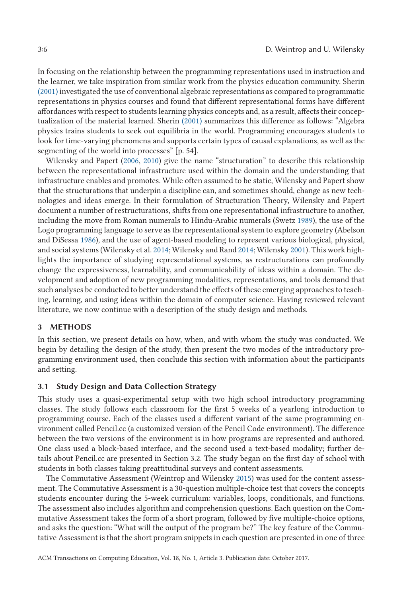In focusing on the relationship between the programming representations used in instruction and the learner, we take inspiration from similar work from the physics education community. Sherin [\(2001\)](#page-23-0) investigated the use of conventional algebraic representations as compared to programmatic representations in physics courses and found that diferent representational forms have diferent afordances with respect to students learning physics concepts and, as a result, afects their conceptualization of the material learned. Sherin [\(2001\)](#page-23-0) summarizes this diference as follows: "Algebra physics trains students to seek out equilibria in the world. Programming encourages students to look for time-varying phenomena and supports certain types of causal explanations, as well as the segmenting of the world into processes" [p. 54].

Wilensky and Papert [\(2006,](#page-24-0) [2010\)](#page-24-0) give the name "structuration" to describe this relationship between the representational infrastructure used within the domain and the understanding that infrastructure enables and promotes. While often assumed to be static, Wilensky and Papert show that the structurations that underpin a discipline can, and sometimes should, change as new technologies and ideas emerge. In their formulation of Structuration Theory, Wilensky and Papert document a number of restructurations, shifts from one representational infrastructure to another, including the move from Roman numerals to Hindu-Arabic numerals (Swetz [1989\)](#page-23-0), the use of the Logo programming language to serve as the representational system to explore geometry (Abelson and DiSessa [1986\)](#page-22-0), and the use of agent-based modeling to represent various biological, physical, and social systems (Wilensky et al. [2014;](#page-24-0) Wilensky and Rand [2014;](#page-24-0) Wilensky [2001\)](#page-24-0). This work highlights the importance of studying representational systems, as restructurations can profoundly change the expressiveness, learnability, and communicability of ideas within a domain. The development and adoption of new programming modalities, representations, and tools demand that such analyses be conducted to better understand the efects of these emerging approaches to teaching, learning, and using ideas within the domain of computer science. Having reviewed relevant literature, we now continue with a description of the study design and methods.

# 3 METHODS

In this section, we present details on how, when, and with whom the study was conducted. We begin by detailing the design of the study, then present the two modes of the introductory programming environment used, then conclude this section with information about the participants and setting.

# 3.1 Study Design and Data Collection Strategy

This study uses a quasi-experimental setup with two high school introductory programming classes. The study follows each classroom for the frst 5 weeks of a yearlong introduction to programming course. Each of the classes used a diferent variant of the same programming environment called Pencil.cc (a customized version of the Pencil Code environment). The diference between the two versions of the environment is in how programs are represented and authored. One class used a block-based interface, and the second used a text-based modality; further details about Pencil.cc are presented in Section 3.2. The study began on the frst day of school with students in both classes taking preattitudinal surveys and content assessments.

The Commutative Assessment (Weintrop and Wilensky [2015\)](#page-24-0) was used for the content assessment. The Commutative Assessment is a 30-question multiple-choice test that covers the concepts students encounter during the 5-week curriculum: variables, loops, conditionals, and functions. The assessment also includes algorithm and comprehension questions. Each question on the Commutative Assessment takes the form of a short program, followed by fve multiple-choice options, and asks the question: "What will the output of the program be?" The key feature of the Commutative Assessment is that the short program snippets in each question are presented in one of three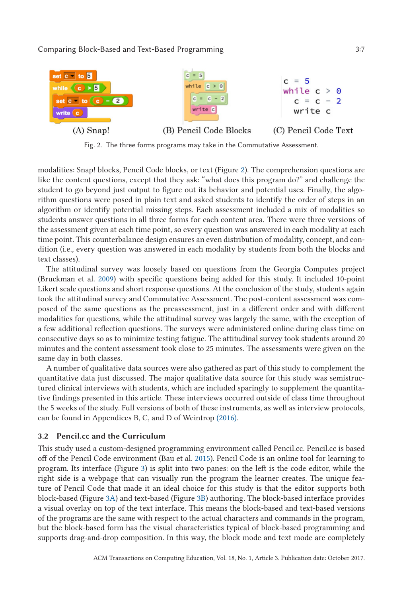<span id="page-6-0"></span>

Fig. 2. The three forms programs may take in the Commutative Assessment.

modalities: Snap! blocks, Pencil Code blocks, or text (Figure 2). The comprehension questions are like the content questions, except that they ask: "what does this program do?" and challenge the student to go beyond just output to fgure out its behavior and potential uses. Finally, the algorithm questions were posed in plain text and asked students to identify the order of steps in an algorithm or identify potential missing steps. Each assessment included a mix of modalities so students answer questions in all three forms for each content area. There were three versions of the assessment given at each time point, so every question was answered in each modality at each time point. This counterbalance design ensures an even distribution of modality, concept, and condition (i.e., every question was answered in each modality by students from both the blocks and text classes).

The attitudinal survey was loosely based on questions from the Georgia Computes project (Bruckman et al. [2009\)](#page-22-0) with specifc questions being added for this study. It included 10-point Likert scale questions and short response questions. At the conclusion of the study, students again took the attitudinal survey and Commutative Assessment. The post-content assessment was composed of the same questions as the preassessment, just in a diferent order and with diferent modalities for questions, while the attitudinal survey was largely the same, with the exception of a few additional refection questions. The surveys were administered online during class time on consecutive days so as to minimize testing fatigue. The attitudinal survey took students around 20 minutes and the content assessment took close to 25 minutes. The assessments were given on the same day in both classes.

A number of qualitative data sources were also gathered as part of this study to complement the quantitative data just discussed. The major qualitative data source for this study was semistructured clinical interviews with students, which are included sparingly to supplement the quantitative fndings presented in this article. These interviews occurred outside of class time throughout the 5 weeks of the study. Full versions of both of these instruments, as well as interview protocols, can be found in Appendices B, C, and D of Weintrop [\(2016\).](#page-24-0)

## 3.2 Pencil.cc and the Curriculum

This study used a custom-designed programming environment called Pencil.cc. Pencil.cc is based of of the Pencil Code environment (Bau et al. [2015\)](#page-22-0). Pencil Code is an online tool for learning to program. Its interface (Figure [3\)](#page-7-0) is split into two panes: on the left is the code editor, while the right side is a webpage that can visually run the program the learner creates. The unique feature of Pencil Code that made it an ideal choice for this study is that the editor supports both block-based (Figure [3A\)](#page-7-0) and text-based (Figure [3B\)](#page-7-0) authoring. The block-based interface provides a visual overlay on top of the text interface. This means the block-based and text-based versions of the programs are the same with respect to the actual characters and commands in the program, but the block-based form has the visual characteristics typical of block-based programming and supports drag-and-drop composition. In this way, the block mode and text mode are completely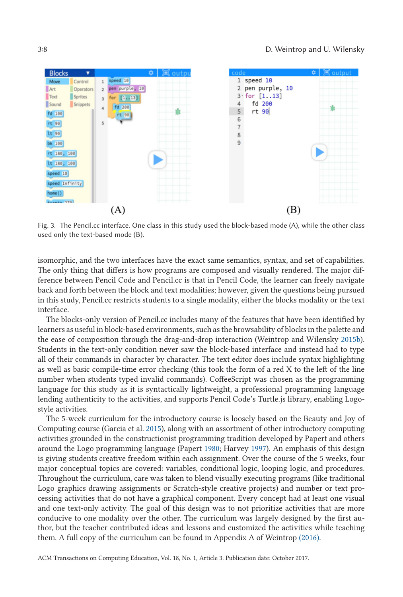<span id="page-7-0"></span>

Fig. 3. The Pencil.cc interface. One class in this study used the block-based mode (A), while the other class used only the text-based mode (B).

isomorphic, and the two interfaces have the exact same semantics, syntax, and set of capabilities. The only thing that difers is how programs are composed and visually rendered. The major difference between Pencil Code and Pencil.cc is that in Pencil Code, the learner can freely navigate back and forth between the block and text modalities; however, given the questions being pursued in this study, Pencil.cc restricts students to a single modality, either the blocks modality or the text interface.

The blocks-only version of Pencil.cc includes many of the features that have been identifed by learners as useful in block-based environments, such as the browsability of blocks in the palette and the ease of composition through the drag-and-drop interaction (Weintrop and Wilensky [2015b\)](#page-24-0). Students in the text-only condition never saw the block-based interface and instead had to type all of their commands in character by character. The text editor does include syntax highlighting as well as basic compile-time error checking (this took the form of a red X to the left of the line number when students typed invalid commands). CofeeScript was chosen as the programming language for this study as it is syntactically lightweight, a professional programming language lending authenticity to the activities, and supports Pencil Code's Turtle.js library, enabling Logostyle activities.

The 5-week curriculum for the introductory course is loosely based on the Beauty and Joy of Computing course (Garcia et al. [2015\)](#page-22-0), along with an assortment of other introductory computing activities grounded in the constructionist programming tradition developed by Papert and others around the Logo programming language (Papert [1980;](#page-23-0) Harvey [1997\)](#page-22-0). An emphasis of this design is giving students creative freedom within each assignment. Over the course of the 5 weeks, four major conceptual topics are covered: variables, conditional logic, looping logic, and procedures. Throughout the curriculum, care was taken to blend visually executing programs (like traditional Logo graphics drawing assignments or Scratch-style creative projects) and number or text processing activities that do not have a graphical component. Every concept had at least one visual and one text-only activity. The goal of this design was to not prioritize activities that are more conducive to one modality over the other. The curriculum was largely designed by the frst author, but the teacher contributed ideas and lessons and customized the activities while teaching them. A full copy of the curriculum can be found in Appendix A of Weintrop [\(2016\).](#page-24-0)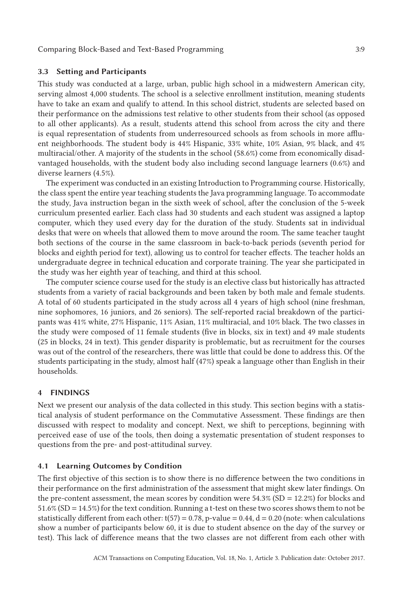#### 3.3 Seting and Participants

This study was conducted at a large, urban, public high school in a midwestern American city, serving almost 4,000 students. The school is a selective enrollment institution, meaning students have to take an exam and qualify to attend. In this school district, students are selected based on their performance on the admissions test relative to other students from their school (as opposed to all other applicants). As a result, students attend this school from across the city and there is equal representation of students from underresourced schools as from schools in more afuent neighborhoods. The student body is 44% Hispanic, 33% white, 10% Asian, 9% black, and 4% multiracial/other. A majority of the students in the school (58.6%) come from economically disadvantaged households, with the student body also including second language learners (0.6%) and diverse learners (4.5%).

The experiment was conducted in an existing Introduction to Programming course. Historically, the class spent the entire year teaching students the Java programming language. To accommodate the study, Java instruction began in the sixth week of school, after the conclusion of the 5-week curriculum presented earlier. Each class had 30 students and each student was assigned a laptop computer, which they used every day for the duration of the study. Students sat in individual desks that were on wheels that allowed them to move around the room. The same teacher taught both sections of the course in the same classroom in back-to-back periods (seventh period for blocks and eighth period for text), allowing us to control for teacher efects. The teacher holds an undergraduate degree in technical education and corporate training. The year she participated in the study was her eighth year of teaching, and third at this school.

The computer science course used for the study is an elective class but historically has attracted students from a variety of racial backgrounds and been taken by both male and female students. A total of 60 students participated in the study across all 4 years of high school (nine freshman, nine sophomores, 16 juniors, and 26 seniors). The self-reported racial breakdown of the participants was 41% white, 27% Hispanic, 11% Asian, 11% multiracial, and 10% black. The two classes in the study were composed of 11 female students (fve in blocks, six in text) and 49 male students (25 in blocks, 24 in text). This gender disparity is problematic, but as recruitment for the courses was out of the control of the researchers, there was little that could be done to address this. Of the students participating in the study, almost half (47%) speak a language other than English in their households.

### 4 FINDINGS

Next we present our analysis of the data collected in this study. This section begins with a statistical analysis of student performance on the Commutative Assessment. These fndings are then discussed with respect to modality and concept. Next, we shift to perceptions, beginning with perceived ease of use of the tools, then doing a systematic presentation of student responses to questions from the pre- and post-attitudinal survey.

#### 4.1 Learning Outcomes by Condition

The frst objective of this section is to show there is no diference between the two conditions in their performance on the frst administration of the assessment that might skew later fndings. On the pre-content assessment, the mean scores by condition were  $54.3\%$  (SD = 12.2%) for blocks and 51.6% (SD = 14.5%) for the text condition. Running a t-test on these two scores shows them to not be statistically different from each other:  $t(57) = 0.78$ , p-value = 0.44, d = 0.20 (note: when calculations show a number of participants below 60, it is due to student absence on the day of the survey or test). This lack of diference means that the two classes are not diferent from each other with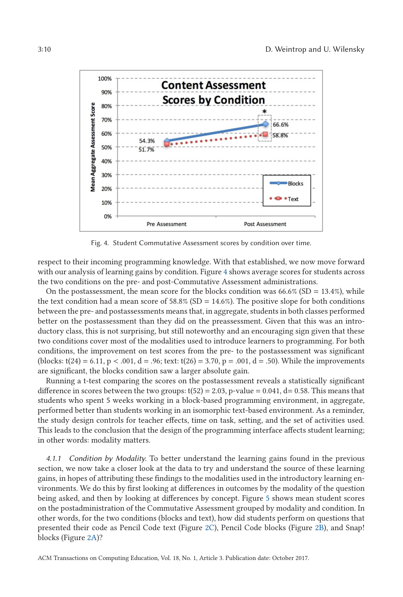

Fig. 4. Student Commutative Assessment scores by condition over time.

respect to their incoming programming knowledge. With that established, we now move forward with our analysis of learning gains by condition. Figure 4 shows average scores for students across the two conditions on the pre- and post-Commutative Assessment administrations.

On the postassessment, the mean score for the blocks condition was  $66.6\%$  (SD = 13.4%), while the text condition had a mean score of  $58.8\%$  (SD = 14.6%). The positive slope for both conditions between the pre- and postassessments means that, in aggregate, students in both classes performed better on the postassessment than they did on the preassessment. Given that this was an introductory class, this is not surprising, but still noteworthy and an encouraging sign given that these two conditions cover most of the modalities used to introduce learners to programming. For both conditions, the improvement on test scores from the pre- to the postassessment was signifcant (blocks:  $t(24) = 6.11$ ,  $p < .001$ ,  $d = .96$ ; text:  $t(26) = 3.70$ ,  $p = .001$ ,  $d = .50$ ). While the improvements are signifcant, the blocks condition saw a larger absolute gain.

Running a t-test comparing the scores on the postassessment reveals a statistically signifcant difference in scores between the two groups:  $t(52) = 2.03$ , p-value = 0.041, d= 0.58. This means that students who spent 5 weeks working in a block-based programming environment, in aggregate, performed better than students working in an isomorphic text-based environment. As a reminder, the study design controls for teacher efects, time on task, setting, and the set of activities used. This leads to the conclusion that the design of the programming interface afects student learning; in other words: modality matters.

*4.1.1 Condition by Modality.* To better understand the learning gains found in the previous section, we now take a closer look at the data to try and understand the source of these learning gains, in hopes of attributing these fndings to the modalities used in the introductory learning environments. We do this by frst looking at diferences in outcomes by the modality of the question being asked, and then by looking at diferences by concept. Figure [5](#page-10-0) shows mean student scores on the postadministration of the Commutative Assessment grouped by modality and condition. In other words, for the two conditions (blocks and text), how did students perform on questions that presented their code as Pencil Code text (Figure [2C\)](#page-6-0), Pencil Code blocks (Figure [2B\)](#page-6-0), and Snap! blocks (Figure [2A\)](#page-6-0)?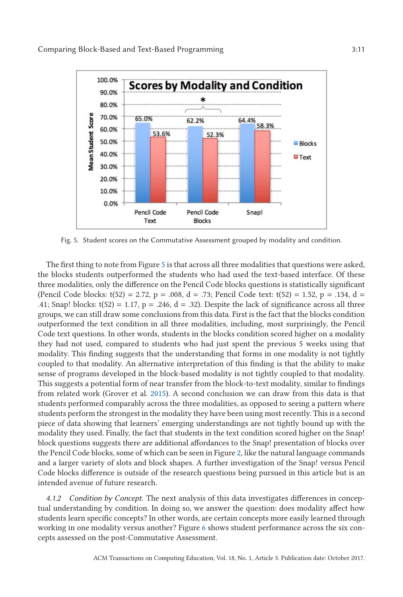<span id="page-10-0"></span>

Fig. 5. Student scores on the Commutative Assessment grouped by modality and condition.

The frst thing to note from Figure 5 is that across all three modalities that questions were asked, the blocks students outperformed the students who had used the text-based interface. Of these three modalities, only the diference on the Pencil Code blocks questions is statistically signifcant (Pencil Code blocks:  $t(52) = 2.72$ , p = .008, d = .73; Pencil Code text:  $t(52) = 1.52$ , p = .134, d = .41; Snap! blocks:  $t(52) = 1.17$ ,  $p = .246$ ,  $d = .32$ ). Despite the lack of significance across all three groups, we can still draw some conclusions from this data. First is the fact that the blocks condition outperformed the text condition in all three modalities, including, most surprisingly, the Pencil Code text questions. In other words, students in the blocks condition scored higher on a modality they had not used, compared to students who had just spent the previous 5 weeks using that modality. This fnding suggests that the understanding that forms in one modality is not tightly coupled to that modality. An alternative interpretation of this fnding is that the ability to make sense of programs developed in the block-based modality is not tightly coupled to that modality. This suggests a potential form of near transfer from the block-to-text modality, similar to fndings from related work (Grover et al. [2015\)](#page-22-0). A second conclusion we can draw from this data is that students performed comparably across the three modalities, as opposed to seeing a pattern where students perform the strongest in the modality they have been using most recently. This is a second piece of data showing that learners' emerging understandings are not tightly bound up with the modality they used. Finally, the fact that students in the text condition scored higher on the Snap! block questions suggests there are additional afordances to the Snap! presentation of blocks over the Pencil Code blocks, some of which can be seen in Figure [2,](#page-6-0) like the natural language commands and a larger variety of slots and block shapes. A further investigation of the Snap! versus Pencil Code blocks diference is outside of the research questions being pursued in this article but is an intended avenue of future research.

*4.1.2 Condition by Concept.* The next analysis of this data investigates diferences in conceptual understanding by condition. In doing so, we answer the question: does modality afect how students learn specifc concepts? In other words, are certain concepts more easily learned through working in one modality versus another? Figure [6](#page-11-0) shows student performance across the six concepts assessed on the post-Commutative Assessment.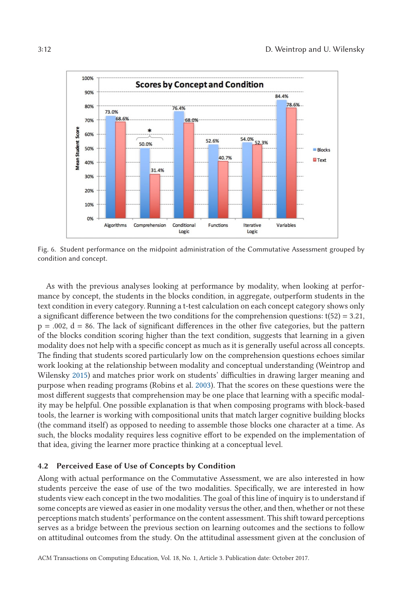<span id="page-11-0"></span>

Fig. 6. Student performance on the midpoint administration of the Commutative Assessment grouped by condition and concept.

As with the previous analyses looking at performance by modality, when looking at performance by concept, the students in the blocks condition, in aggregate, outperform students in the text condition in every category. Running a t-test calculation on each concept category shows only a significant difference between the two conditions for the comprehension questions:  $t(52) = 3.21$ ,  $p = .002$ ,  $d = 86$ . The lack of significant differences in the other five categories, but the pattern of the blocks condition scoring higher than the text condition, suggests that learning in a given modality does not help with a specifc concept as much as it is generally useful across all concepts. The fnding that students scored particularly low on the comprehension questions echoes similar work looking at the relationship between modality and conceptual understanding (Weintrop and Wilensky [2015\)](#page-24-0) and matches prior work on students' difficulties in drawing larger meaning and purpose when reading programs (Robins et al. [2003\)](#page-23-0). That the scores on these questions were the most diferent suggests that comprehension may be one place that learning with a specifc modality may be helpful. One possible explanation is that when composing programs with block-based tools, the learner is working with compositional units that match larger cognitive building blocks (the command itself) as opposed to needing to assemble those blocks one character at a time. As such, the blocks modality requires less cognitive efort to be expended on the implementation of that idea, giving the learner more practice thinking at a conceptual level.

#### 4.2 Perceived Ease of Use of Concepts by Condition

Along with actual performance on the Commutative Assessment, we are also interested in how students perceive the ease of use of the two modalities. Specifcally, we are interested in how students view each concept in the two modalities. The goal of this line of inquiry is to understand if some concepts are viewed as easier in one modality versus the other, and then, whether or not these perceptions match students' performance on the content assessment. This shift toward perceptions serves as a bridge between the previous section on learning outcomes and the sections to follow on attitudinal outcomes from the study. On the attitudinal assessment given at the conclusion of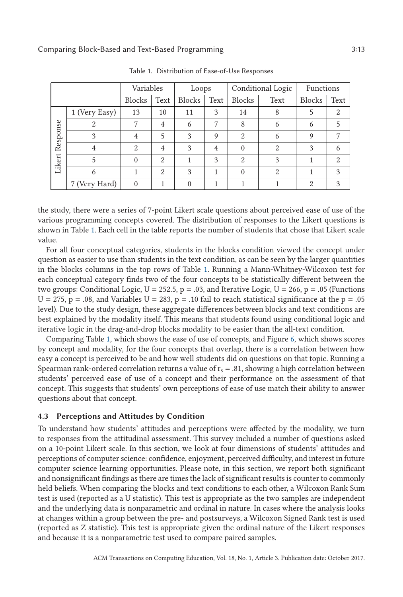|                    |               | Variables      |                | Loops         |                | Conditional Logic |                | Functions      |                |
|--------------------|---------------|----------------|----------------|---------------|----------------|-------------------|----------------|----------------|----------------|
|                    |               | <b>Blocks</b>  | Text           | <b>Blocks</b> | Text           | <b>Blocks</b>     | Text           | <b>Blocks</b>  | Text           |
| Response<br>Likert | 1 (Very Easy) | 13             | 10             | 11            | 3              | 14                | 8              |                | 2              |
|                    |               |                | $\overline{4}$ | 6             | 7              | 8                 | 6              | 6              | 5              |
|                    | 3             | 4              | 5              | 3             | $\mathbf Q$    | $\overline{2}$    | 6              | Q              | 7              |
|                    | 4             | $\mathfrak{D}$ | $\overline{4}$ | 3             | $\overline{4}$ | $\Omega$          | $\overline{2}$ | 3              | 6              |
|                    | 5             |                | $\mathfrak{D}$ |               | 3              | $\mathcal{L}$     | 3              |                | $\mathfrak{D}$ |
|                    | 6             |                | 2              | 3             |                | $\Omega$          | $\overline{2}$ |                | 3              |
|                    | 7 (Very Hard) |                |                |               |                |                   |                | $\mathfrak{D}$ | 3              |

Table 1. Distribution of Ease-of-Use Responses

the study, there were a series of 7-point Likert scale questions about perceived ease of use of the various programming concepts covered. The distribution of responses to the Likert questions is shown in Table 1. Each cell in the table reports the number of students that chose that Likert scale value.

For all four conceptual categories, students in the blocks condition viewed the concept under question as easier to use than students in the text condition, as can be seen by the larger quantities in the blocks columns in the top rows of Table 1. Running a Mann-Whitney-Wilcoxon test for each conceptual category fnds two of the four concepts to be statistically diferent between the two groups: Conditional Logic,  $U = 252.5$ ,  $p = .03$ , and Iterative Logic,  $U = 266$ ,  $p = .05$  (Functions  $U = 275$ , p = .08, and Variables  $U = 283$ , p = .10 fail to reach statistical significance at the p = .05 level). Due to the study design, these aggregate diferences between blocks and text conditions are best explained by the modality itself. This means that students found using conditional logic and iterative logic in the drag-and-drop blocks modality to be easier than the all-text condition.

Comparing Table 1, which shows the ease of use of concepts, and Figure [6,](#page-11-0) which shows scores by concept and modality, for the four concepts that overlap, there is a correlation between how easy a concept is perceived to be and how well students did on questions on that topic. Running a Spearman rank-ordered correlation returns a value of  $r_s = .81$ , showing a high correlation between students' perceived ease of use of a concept and their performance on the assessment of that concept. This suggests that students' own perceptions of ease of use match their ability to answer questions about that concept.

## 4.3 Perceptions and Atitudes by Condition

To understand how students' attitudes and perceptions were afected by the modality, we turn to responses from the attitudinal assessment. This survey included a number of questions asked on a 10-point Likert scale. In this section, we look at four dimensions of students' attitudes and perceptions of computer science: confdence, enjoyment, perceived difculty, and interest in future computer science learning opportunities. Please note, in this section, we report both signifcant and nonsignifcant fndings as there are times the lack of signifcant results is counter to commonly held beliefs. When comparing the blocks and text conditions to each other, a Wilcoxon Rank Sum test is used (reported as a U statistic). This test is appropriate as the two samples are independent and the underlying data is nonparametric and ordinal in nature. In cases where the analysis looks at changes within a group between the pre- and postsurveys, a Wilcoxon Signed Rank test is used (reported as Z statistic). This test is appropriate given the ordinal nature of the Likert responses and because it is a nonparametric test used to compare paired samples.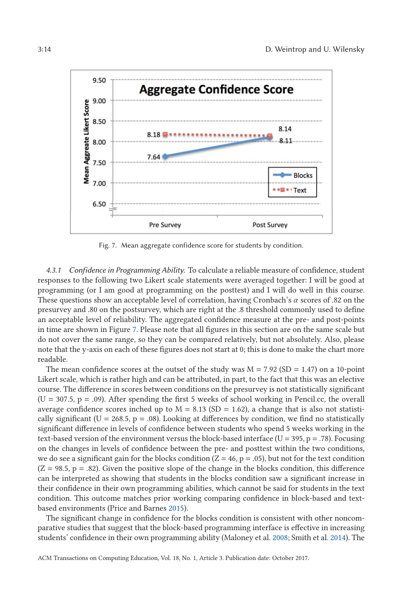

Fig. 7. Mean aggregate confidence score for students by condition.

*4.3.1 Confidence in Programming Ability.* To calculate a reliable measure of confdence, student responses to the following two Likert scale statements were averaged together: I will be good at programming (or I am good at programming on the posttest) and I will do well in this course. These questions show an acceptable level of correlation, having Cronbach's  $\alpha$  scores of .82 on the presurvey and .80 on the postsurvey, which are right at the .8 threshold commonly used to defne an acceptable level of reliability. The aggregated confdence measure at the pre- and post-points in time are shown in Figure 7. Please note that all fgures in this section are on the same scale but do not cover the same range, so they can be compared relatively, but not absolutely. Also, please note that the y-axis on each of these fgures does not start at 0; this is done to make the chart more readable.

The mean confidence scores at the outset of the study was  $M = 7.92$  (SD = 1.47) on a 10-point Likert scale, which is rather high and can be attributed, in part, to the fact that this was an elective course. The diference in scores between conditions on the presurvey is not statistically signifcant  $(U = 307.5, p = .09)$ . After spending the first 5 weeks of school working in Pencil.cc, the overall average confidence scores inched up to  $M = 8.13$  (SD = 1.62), a change that is also not statistically significant ( $U = 268.5$ ,  $p = .08$ ). Looking at differences by condition, we find no statistically signifcant diference in levels of confdence between students who spend 5 weeks working in the text-based version of the environment versus the block-based interface ( $U = 395$ ,  $p = .78$ ). Focusing on the changes in levels of confdence between the pre- and posttest within the two conditions, we do see a significant gain for the blocks condition  $(Z = 46, p = .05)$ , but not for the text condition  $(Z = 98.5, p = .82)$ . Given the positive slope of the change in the blocks condition, this difference can be interpreted as showing that students in the blocks condition saw a signifcant increase in their confdence in their own programming abilities, which cannot be said for students in the text condition. This outcome matches prior working comparing confdence in block-based and textbased environments (Price and Barnes [2015\)](#page-23-0).

The signifcant change in confdence for the blocks condition is consistent with other noncomparative studies that suggest that the block-based programming interface is efective in increasing students' confdence in their own programming ability (Maloney et al. [2008;](#page-23-0) Smith et al. [2014\)](#page-23-0). The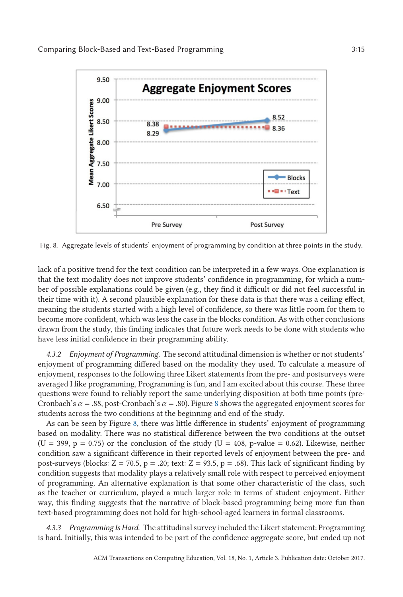

Fig. 8. Aggregate levels of students' enjoyment of programming by condition at three points in the study.

lack of a positive trend for the text condition can be interpreted in a few ways. One explanation is that the text modality does not improve students' confdence in programming, for which a number of possible explanations could be given (e.g., they find it difficult or did not feel successful in their time with it). A second plausible explanation for these data is that there was a ceiling efect, meaning the students started with a high level of confdence, so there was little room for them to become more confdent, which was less the case in the blocks condition. As with other conclusions drawn from the study, this fnding indicates that future work needs to be done with students who have less initial confdence in their programming ability.

*4.3.2 Enjoyment of Programming.* The second attitudinal dimension is whether or not students' enjoyment of programming difered based on the modality they used. To calculate a measure of enjoyment, responses to the following three Likert statements from the pre- and postsurveys were averaged I like programming, Programming is fun, and I am excited about this course. These three questions were found to reliably report the same underlying disposition at both time points (pre-Cronbach's  $\alpha$  = .88, post-Cronbach's  $\alpha$  = .80). Figure 8 shows the aggregated enjoyment scores for students across the two conditions at the beginning and end of the study.

As can be seen by Figure 8, there was little diference in students' enjoyment of programming based on modality. There was no statistical diference between the two conditions at the outset (U = 399, p = 0.75) or the conclusion of the study (U = 408, p-value = 0.62). Likewise, neither condition saw a signifcant diference in their reported levels of enjoyment between the pre- and post-surveys (blocks:  $Z = 70.5$ ,  $p = .20$ ; text:  $Z = 93.5$ ,  $p = .68$ ). This lack of significant finding by condition suggests that modality plays a relatively small role with respect to perceived enjoyment of programming. An alternative explanation is that some other characteristic of the class, such as the teacher or curriculum, played a much larger role in terms of student enjoyment. Either way, this fnding suggests that the narrative of block-based programming being more fun than text-based programming does not hold for high-school-aged learners in formal classrooms.

*4.3.3 Programming Is Hard.* The attitudinal survey included the Likert statement: Programming is hard. Initially, this was intended to be part of the confdence aggregate score, but ended up not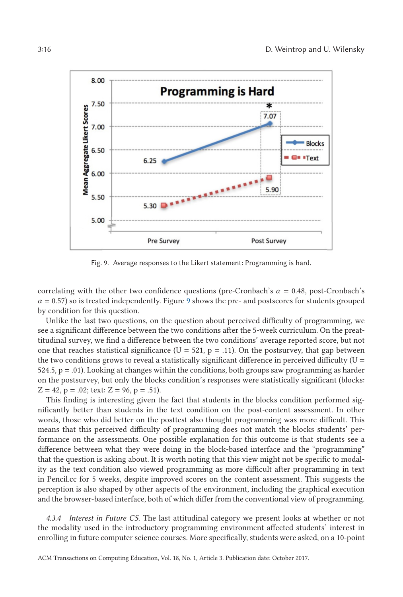

Fig. 9. Average responses to the Likert statement: Programming is hard.

correlating with the other two confidence questions (pre-Cronbach's  $\alpha = 0.48$ , post-Cronbach's  $\alpha$  = 0.57) so is treated independently. Figure 9 shows the pre- and postscores for students grouped by condition for this question.

Unlike the last two questions, on the question about perceived difficulty of programming, we see a signifcant diference between the two conditions after the 5-week curriculum. On the preattitudinal survey, we fnd a diference between the two conditions' average reported score, but not one that reaches statistical significance ( $U = 521$ ,  $p = .11$ ). On the postsurvey, that gap between the two conditions grows to reveal a statistically significant difference in perceived difficulty ( $U =$  $524.5, p = .01$ ). Looking at changes within the conditions, both groups saw programming as harder on the postsurvey, but only the blocks condition's responses were statistically signifcant (blocks:  $Z = 42$ ,  $p = .02$ ; text:  $Z = 96$ ,  $p = .51$ ).

This fnding is interesting given the fact that students in the blocks condition performed signifcantly better than students in the text condition on the post-content assessment. In other words, those who did better on the posttest also thought programming was more difficult. This means that this perceived difficulty of programming does not match the blocks students' performance on the assessments. One possible explanation for this outcome is that students see a diference between what they were doing in the block-based interface and the "programming" that the question is asking about. It is worth noting that this view might not be specifc to modality as the text condition also viewed programming as more difcult after programming in text in Pencil.cc for 5 weeks, despite improved scores on the content assessment. This suggests the perception is also shaped by other aspects of the environment, including the graphical execution and the browser-based interface, both of which difer from the conventional view of programming.

*4.3.4 Interest in Future CS.* The last attitudinal category we present looks at whether or not the modality used in the introductory programming environment afected students' interest in enrolling in future computer science courses. More specifcally, students were asked, on a 10-point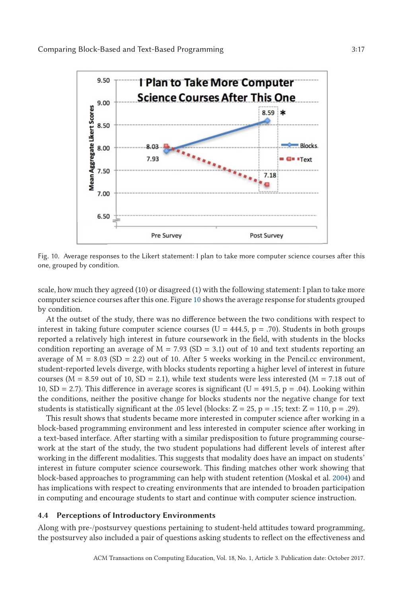

Fig. 10. Average responses to the Likert statement: I plan to take more computer science courses afer this one, grouped by condition.

scale, how much they agreed (10) or disagreed (1) with the following statement: I plan to take more computer science courses after this one. Figure 10 shows the average response for students grouped by condition.

At the outset of the study, there was no diference between the two conditions with respect to interest in taking future computer science courses ( $U = 444.5$ ,  $p = .70$ ). Students in both groups reported a relatively high interest in future coursework in the feld, with students in the blocks condition reporting an average of  $M = 7.93$  (SD = 3.1) out of 10 and text students reporting an average of  $M = 8.03$  (SD = 2.2) out of 10. After 5 weeks working in the Pencil.cc environment, student-reported levels diverge, with blocks students reporting a higher level of interest in future courses ( $M = 8.59$  out of 10, SD = 2.1), while text students were less interested ( $M = 7.18$  out of 10, SD = 2.7). This difference in average scores is significant ( $U = 491.5$ , p = .04). Looking within the conditions, neither the positive change for blocks students nor the negative change for text students is statistically significant at the .05 level (blocks:  $Z = 25$ , p = .15; text:  $Z = 110$ , p = .29).

This result shows that students became more interested in computer science after working in a block-based programming environment and less interested in computer science after working in a text-based interface. After starting with a similar predisposition to future programming coursework at the start of the study, the two student populations had diferent levels of interest after working in the diferent modalities. This suggests that modality does have an impact on students' interest in future computer science coursework. This fnding matches other work showing that block-based approaches to programming can help with student retention (Moskal et al. [2004\)](#page-23-0) and has implications with respect to creating environments that are intended to broaden participation in computing and encourage students to start and continue with computer science instruction.

#### 4.4 Perceptions of Introductory Environments

Along with pre-/postsurvey questions pertaining to student-held attitudes toward programming, the postsurvey also included a pair of questions asking students to refect on the efectiveness and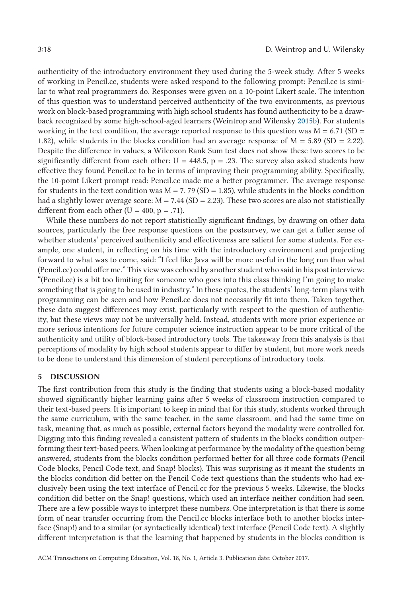authenticity of the introductory environment they used during the 5-week study. After 5 weeks of working in Pencil.cc, students were asked respond to the following prompt: Pencil.cc is similar to what real programmers do. Responses were given on a 10-point Likert scale. The intention of this question was to understand perceived authenticity of the two environments, as previous work on block-based programming with high school students has found authenticity to be a drawback recognized by some high-school-aged learners (Weintrop and Wilensky [2015b\)](#page-24-0). For students working in the text condition, the average reported response to this question was  $M = 6.71$  (SD = 1.82), while students in the blocks condition had an average response of  $M = 5.89$  (SD = 2.22). Despite the diference in values, a Wilcoxon Rank Sum test does not show these two scores to be significantly different from each other:  $U = 448.5$ ,  $p = .23$ . The survey also asked students how efective they found Pencil.cc to be in terms of improving their programming ability. Specifcally, the 10-point Likert prompt read: Pencil.cc made me a better programmer. The average response for students in the text condition was  $M = 7.79$  (SD = 1.85), while students in the blocks condition had a slightly lower average score:  $M = 7.44$  (SD = 2.23). These two scores are also not statistically different from each other ( $U = 400$ ,  $p = .71$ ).

While these numbers do not report statistically signifcant fndings, by drawing on other data sources, particularly the free response questions on the postsurvey, we can get a fuller sense of whether students' perceived authenticity and efectiveness are salient for some students. For example, one student, in refecting on his time with the introductory environment and projecting forward to what was to come, said: "I feel like Java will be more useful in the long run than what (Pencil.cc) could offer me." This view was echoed by another student who said in his post interview: "(Pencil.cc) is a bit too limiting for someone who goes into this class thinking I'm going to make something that is going to be used in industry." In these quotes, the students' long-term plans with programming can be seen and how Pencil.cc does not necessarily ft into them. Taken together, these data suggest diferences may exist, particularly with respect to the question of authenticity, but these views may not be universally held. Instead, students with more prior experience or more serious intentions for future computer science instruction appear to be more critical of the authenticity and utility of block-based introductory tools. The takeaway from this analysis is that perceptions of modality by high school students appear to difer by student, but more work needs to be done to understand this dimension of student perceptions of introductory tools.

## 5 DISCUSSION

The frst contribution from this study is the fnding that students using a block-based modality showed signifcantly higher learning gains after 5 weeks of classroom instruction compared to their text-based peers. It is important to keep in mind that for this study, students worked through the same curriculum, with the same teacher, in the same classroom, and had the same time on task, meaning that, as much as possible, external factors beyond the modality were controlled for. Digging into this fnding revealed a consistent pattern of students in the blocks condition outperforming their text-based peers. When looking at performance by the modality of the question being answered, students from the blocks condition performed better for all three code formats (Pencil Code blocks, Pencil Code text, and Snap! blocks). This was surprising as it meant the students in the blocks condition did better on the Pencil Code text questions than the students who had exclusively been using the text interface of Pencil.cc for the previous 5 weeks. Likewise, the blocks condition did better on the Snap! questions, which used an interface neither condition had seen. There are a few possible ways to interpret these numbers. One interpretation is that there is some form of near transfer occurring from the Pencil.cc blocks interface both to another blocks interface (Snap!) and to a similar (or syntactically identical) text interface (Pencil Code text). A slightly diferent interpretation is that the learning that happened by students in the blocks condition is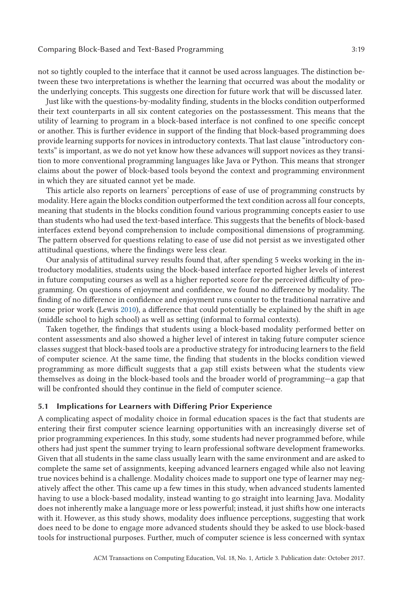## Comparing Block-Based and Text-Based Programming 3:19

not so tightly coupled to the interface that it cannot be used across languages. The distinction between these two interpretations is whether the learning that occurred was about the modality or the underlying concepts. This suggests one direction for future work that will be discussed later.

Just like with the questions-by-modality fnding, students in the blocks condition outperformed their text counterparts in all six content categories on the postassessment. This means that the utility of learning to program in a block-based interface is not confned to one specifc concept or another. This is further evidence in support of the fnding that block-based programming does provide learning supports for novices in introductory contexts. That last clause "introductory contexts" is important, as we do not yet know how these advances will support novices as they transition to more conventional programming languages like Java or Python. This means that stronger claims about the power of block-based tools beyond the context and programming environment in which they are situated cannot yet be made.

This article also reports on learners' perceptions of ease of use of programming constructs by modality. Here again the blocks condition outperformed the text condition across all four concepts, meaning that students in the blocks condition found various programming concepts easier to use than students who had used the text-based interface. This suggests that the benefts of block-based interfaces extend beyond comprehension to include compositional dimensions of programming. The pattern observed for questions relating to ease of use did not persist as we investigated other attitudinal questions, where the fndings were less clear.

Our analysis of attitudinal survey results found that, after spending 5 weeks working in the introductory modalities, students using the block-based interface reported higher levels of interest in future computing courses as well as a higher reported score for the perceived difficulty of programming. On questions of enjoyment and confdence, we found no diference by modality. The fnding of no diference in confdence and enjoyment runs counter to the traditional narrative and some prior work (Lewis [2010\)](#page-23-0), a diference that could potentially be explained by the shift in age (middle school to high school) as well as setting (informal to formal contexts).

Taken together, the fndings that students using a block-based modality performed better on content assessments and also showed a higher level of interest in taking future computer science classes suggest that block-based tools are a productive strategy for introducing learners to the feld of computer science. At the same time, the fnding that students in the blocks condition viewed programming as more difcult suggests that a gap still exists between what the students view themselves as doing in the block-based tools and the broader world of programming—a gap that will be confronted should they continue in the feld of computer science.

### 5.1 Implications for Learners with Difering Prior Experience

A complicating aspect of modality choice in formal education spaces is the fact that students are entering their frst computer science learning opportunities with an increasingly diverse set of prior programming experiences. In this study, some students had never programmed before, while others had just spent the summer trying to learn professional software development frameworks. Given that all students in the same class usually learn with the same environment and are asked to complete the same set of assignments, keeping advanced learners engaged while also not leaving true novices behind is a challenge. Modality choices made to support one type of learner may negatively afect the other. This came up a few times in this study, when advanced students lamented having to use a block-based modality, instead wanting to go straight into learning Java. Modality does not inherently make a language more or less powerful; instead, it just shifts how one interacts with it. However, as this study shows, modality does infuence perceptions, suggesting that work does need to be done to engage more advanced students should they be asked to use block-based tools for instructional purposes. Further, much of computer science is less concerned with syntax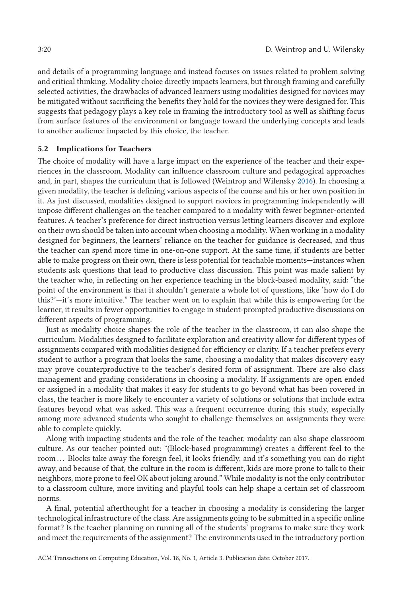and details of a programming language and instead focuses on issues related to problem solving and critical thinking. Modality choice directly impacts learners, but through framing and carefully selected activities, the drawbacks of advanced learners using modalities designed for novices may be mitigated without sacrifcing the benefts they hold for the novices they were designed for. This suggests that pedagogy plays a key role in framing the introductory tool as well as shifting focus from surface features of the environment or language toward the underlying concepts and leads to another audience impacted by this choice, the teacher.

#### 5.2 Implications for Teachers

The choice of modality will have a large impact on the experience of the teacher and their experiences in the classroom. Modality can infuence classroom culture and pedagogical approaches and, in part, shapes the curriculum that is followed (Weintrop and Wilensky [2016\)](#page-24-0). In choosing a given modality, the teacher is defning various aspects of the course and his or her own position in it. As just discussed, modalities designed to support novices in programming independently will impose diferent challenges on the teacher compared to a modality with fewer beginner-oriented features. A teacher's preference for direct instruction versus letting learners discover and explore on their own should be taken into account when choosing a modality. When working in a modality designed for beginners, the learners' reliance on the teacher for guidance is decreased, and thus the teacher can spend more time in one-on-one support. At the same time, if students are better able to make progress on their own, there is less potential for teachable moments—instances when students ask questions that lead to productive class discussion. This point was made salient by the teacher who, in refecting on her experience teaching in the block-based modality, said: "the point of the environment is that it shouldn't generate a whole lot of questions, like 'how do I do this?'—it's more intuitive." The teacher went on to explain that while this is empowering for the learner, it results in fewer opportunities to engage in student-prompted productive discussions on diferent aspects of programming.

Just as modality choice shapes the role of the teacher in the classroom, it can also shape the curriculum. Modalities designed to facilitate exploration and creativity allow for diferent types of assignments compared with modalities designed for efficiency or clarity. If a teacher prefers every student to author a program that looks the same, choosing a modality that makes discovery easy may prove counterproductive to the teacher's desired form of assignment. There are also class management and grading considerations in choosing a modality. If assignments are open ended or assigned in a modality that makes it easy for students to go beyond what has been covered in class, the teacher is more likely to encounter a variety of solutions or solutions that include extra features beyond what was asked. This was a frequent occurrence during this study, especially among more advanced students who sought to challenge themselves on assignments they were able to complete quickly.

Along with impacting students and the role of the teacher, modality can also shape classroom culture. As our teacher pointed out: "(Block-based programming) creates a diferent feel to the room ... Blocks take away the foreign feel, it looks friendly, and it's something you can do right away, and because of that, the culture in the room is diferent, kids are more prone to talk to their neighbors, more prone to feel OK about joking around." While modality is not the only contributor to a classroom culture, more inviting and playful tools can help shape a certain set of classroom norms.

A fnal, potential afterthought for a teacher in choosing a modality is considering the larger technological infrastructure of the class. Are assignments going to be submitted in a specifc online format? Is the teacher planning on running all of the students' programs to make sure they work and meet the requirements of the assignment? The environments used in the introductory portion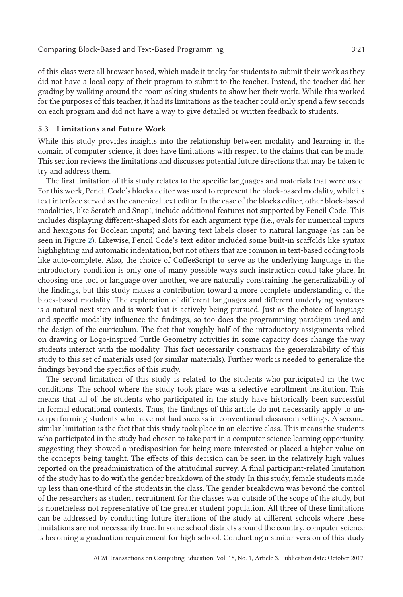of this class were all browser based, which made it tricky for students to submit their work as they did not have a local copy of their program to submit to the teacher. Instead, the teacher did her grading by walking around the room asking students to show her their work. While this worked for the purposes of this teacher, it had its limitations as the teacher could only spend a few seconds on each program and did not have a way to give detailed or written feedback to students.

# 5.3 Limitations and Future Work

While this study provides insights into the relationship between modality and learning in the domain of computer science, it does have limitations with respect to the claims that can be made. This section reviews the limitations and discusses potential future directions that may be taken to try and address them.

The frst limitation of this study relates to the specifc languages and materials that were used. For this work, Pencil Code's blocks editor was used to represent the block-based modality, while its text interface served as the canonical text editor. In the case of the blocks editor, other block-based modalities, like Scratch and Snap!, include additional features not supported by Pencil Code. This includes displaying diferent-shaped slots for each argument type (i.e., ovals for numerical inputs and hexagons for Boolean inputs) and having text labels closer to natural language (as can be seen in Figure [2\)](#page-6-0). Likewise, Pencil Code's text editor included some built-in scafolds like syntax highlighting and automatic indentation, but not others that are common in text-based coding tools like auto-complete. Also, the choice of CofeeScript to serve as the underlying language in the introductory condition is only one of many possible ways such instruction could take place. In choosing one tool or language over another, we are naturally constraining the generalizability of the fndings, but this study makes a contribution toward a more complete understanding of the block-based modality. The exploration of diferent languages and diferent underlying syntaxes is a natural next step and is work that is actively being pursued. Just as the choice of language and specifc modality infuence the fndings, so too does the programming paradigm used and the design of the curriculum. The fact that roughly half of the introductory assignments relied on drawing or Logo-inspired Turtle Geometry activities in some capacity does change the way students interact with the modality. This fact necessarily constrains the generalizability of this study to this set of materials used (or similar materials). Further work is needed to generalize the fndings beyond the specifcs of this study.

The second limitation of this study is related to the students who participated in the two conditions. The school where the study took place was a selective enrollment institution. This means that all of the students who participated in the study have historically been successful in formal educational contexts. Thus, the fndings of this article do not necessarily apply to underperforming students who have not had success in conventional classroom settings. A second, similar limitation is the fact that this study took place in an elective class. This means the students who participated in the study had chosen to take part in a computer science learning opportunity, suggesting they showed a predisposition for being more interested or placed a higher value on the concepts being taught. The efects of this decision can be seen in the relatively high values reported on the preadministration of the attitudinal survey. A fnal participant-related limitation of the study has to do with the gender breakdown of the study. In this study, female students made up less than one-third of the students in the class. The gender breakdown was beyond the control of the researchers as student recruitment for the classes was outside of the scope of the study, but is nonetheless not representative of the greater student population. All three of these limitations can be addressed by conducting future iterations of the study at diferent schools where these limitations are not necessarily true. In some school districts around the country, computer science is becoming a graduation requirement for high school. Conducting a similar version of this study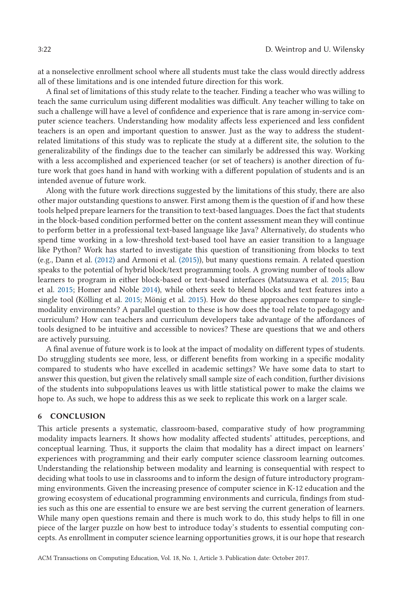at a nonselective enrollment school where all students must take the class would directly address all of these limitations and is one intended future direction for this work.

A fnal set of limitations of this study relate to the teacher. Finding a teacher who was willing to teach the same curriculum using different modalities was difficult. Any teacher willing to take on such a challenge will have a level of confdence and experience that is rare among in-service computer science teachers. Understanding how modality afects less experienced and less confdent teachers is an open and important question to answer. Just as the way to address the studentrelated limitations of this study was to replicate the study at a diferent site, the solution to the generalizability of the fndings due to the teacher can similarly be addressed this way. Working with a less accomplished and experienced teacher (or set of teachers) is another direction of future work that goes hand in hand with working with a diferent population of students and is an intended avenue of future work.

Along with the future work directions suggested by the limitations of this study, there are also other major outstanding questions to answer. First among them is the question of if and how these tools helped prepare learners for the transition to text-based languages. Does the fact that students in the block-based condition performed better on the content assessment mean they will continue to perform better in a professional text-based language like Java? Alternatively, do students who spend time working in a low-threshold text-based tool have an easier transition to a language like Python? Work has started to investigate this question of transitioning from blocks to text (e.g., Dann et al. [\(2012\)](#page-22-0) and Armoni et al. [\(2015\)\)](#page-22-0), but many questions remain. A related question speaks to the potential of hybrid block/text programming tools. A growing number of tools allow learners to program in either block-based or text-based interfaces (Matsuzawa et al. [2015;](#page-23-0) Bau et al. [2015;](#page-22-0) Homer and Noble [2014\)](#page-23-0), while others seek to blend blocks and text features into a single tool (Kölling et al. [2015;](#page-23-0) Mönig et al. [2015\)](#page-23-0). How do these approaches compare to singlemodality environments? A parallel question to these is how does the tool relate to pedagogy and curriculum? How can teachers and curriculum developers take advantage of the afordances of tools designed to be intuitive and accessible to novices? These are questions that we and others are actively pursuing.

A fnal avenue of future work is to look at the impact of modality on diferent types of students. Do struggling students see more, less, or diferent benefts from working in a specifc modality compared to students who have excelled in academic settings? We have some data to start to answer this question, but given the relatively small sample size of each condition, further divisions of the students into subpopulations leaves us with little statistical power to make the claims we hope to. As such, we hope to address this as we seek to replicate this work on a larger scale.

### 6 CONCLUSION

This article presents a systematic, classroom-based, comparative study of how programming modality impacts learners. It shows how modality afected students' attitudes, perceptions, and conceptual learning. Thus, it supports the claim that modality has a direct impact on learners' experiences with programming and their early computer science classroom learning outcomes. Understanding the relationship between modality and learning is consequential with respect to deciding what tools to use in classrooms and to inform the design of future introductory programming environments. Given the increasing presence of computer science in K-12 education and the growing ecosystem of educational programming environments and curricula, fndings from studies such as this one are essential to ensure we are best serving the current generation of learners. While many open questions remain and there is much work to do, this study helps to fll in one piece of the larger puzzle on how best to introduce today's students to essential computing concepts. As enrollment in computer science learning opportunities grows, it is our hope that research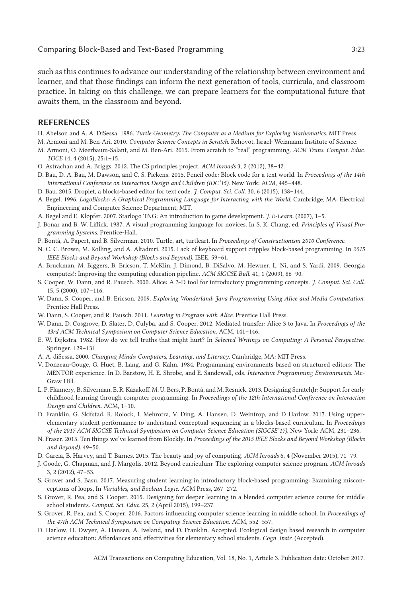<span id="page-22-0"></span>such as this continues to advance our understanding of the relationship between environment and learner, and that those fndings can inform the next generation of tools, curricula, and classroom practice. In taking on this challenge, we can prepare learners for the computational future that awaits them, in the classroom and beyond.

# REFERENCES

- H. Abelson and A. A. DiSessa. 1986. *Turtle Geometry: The Computer as a Medium for Exploring Mathematics*. MIT Press.
- M. Armoni and M. Ben-Ari. 2010. *Computer Science Concepts in Scratch*. Rehovot, Israel: Weizmann Institute of Science.
- M. Armoni, O. Meerbaum-Salant, and M. Ben-Ari. 2015. From scratch to "real" programming. *ACM Trans. Comput. Educ. TOCE* 14, 4 (2015), 25:1–15.
- O. Astrachan and A. Briggs. 2012. The CS principles project. *ACM Inroads* 3, 2 (2012), 38–42.
- D. Bau, D. A. Bau, M. Dawson, and C. S. Pickens. 2015. Pencil code: Block code for a text world. In *Proceedings of the 14th International Conference on Interaction Design and Children (IDC'15)*. New York: ACM, 445–448.
- D. Bau. 2015. Droplet, a blocks-based editor for text code. *J. Comput. Sci. Coll.* 30, 6 (2015), 138–144.
- A. Begel. 1996. *LogoBlocks: A Graphical Programming Language for Interacting with the World*. Cambridge, MA: Electrical Engineering and Computer Science Department, MIT.
- A. Begel and E. Klopfer. 2007. Starlogo TNG: An introduction to game development. *J. E-Learn.* (2007), 1–5.
- J. Bonar and B. W. Lifck. 1987. A visual programming language for novices. In S. K. Chang, ed. *Principles of Visual Programming Systems*. Prentice-Hall.
- P. Bontá, A. Papert, and B. Silverman. 2010. Turtle, art, turtleart. In *Proceedings of Constructionism 2010 Conference*.
- N. C. C. Brown, M. Kolling, and A. Altadmri. 2015. Lack of keyboard support cripples block-based programming. In *2015 IEEE Blocks and Beyond Workshop (Blocks and Beyond)*. IEEE, 59–61.
- A. Bruckman, M. Biggers, B. Ericson, T. McKlin, J. Dimond, B. DiSalvo, M. Hewner, L. Ni, and S. Yardi. 2009. Georgia computes!: Improving the computing education pipeline. *ACM SIGCSE Bull*. 41, 1 (2009), 86–90.
- S. Cooper, W. Dann, and R. Pausch. 2000. Alice: A 3-D tool for introductory programming concepts. *J. Comput. Sci. Coll.* 15, 5 (2000), 107–116.
- W. Dann, S. Cooper, and B. Ericson. 2009. *Exploring Wonderland: Java Programming Using Alice and Media Computation*. Prentice Hall Press.
- W. Dann, S. Cooper, and R. Pausch. 2011. *Learning to Program with Alice*. Prentice Hall Press.
- W. Dann, D. Cosgrove, D. Slater, D. Culyba, and S. Cooper. 2012. Mediated transfer: Alice 3 to Java. In *Proceedings of the 43rd ACM Technical Symposium on Computer Science Education*. ACM, 141–146.
- E. W. Dijkstra. 1982. How do we tell truths that might hurt? In *Selected Writings on Computing: A Personal Perspective*. Springer, 129–131.
- A. A. diSessa. 2000. *Changing Minds: Computers, Learning, and Literacy*, Cambridge, MA: MIT Press.
- V. Donzeau-Gouge, G. Huet, B. Lang, and G. Kahn. 1984. Programming environments based on structured editors: The MENTOR experience. In D. Barstow, H. E. Shrobe, and E. Sandewall, eds. *Interactive Programming Environments*. Mc-Graw Hill.
- L. P. Flannery, B. Silverman, E. R. Kazakof, M. U. Bers, P. Bontá, and M. Resnick. 2013. Designing ScratchJr: Support for early childhood learning through computer programming. In *Proceedings of the 12th International Conference on Interaction Design and Children*. ACM, 1–10.
- D. Franklin, G. Skifstad, R. Rolock, I. Mehrotra, V. Ding, A. Hansen, D. Weintrop, and D Harlow. 2017. Using upperelementary student performance to understand conceptual sequencing in a blocks-based curriculum. In *Proceedings of the 2017 ACM SIGCSE Technical Symposium on Computer Science Education (SIGCSE'17)*. New York: ACM, 231–236.
- N. Fraser. 2015. Ten things we've learned from Blockly. In *Proceedings of the 2015 IEEE Blocks and Beyond Workshop (Blocks and Beyond)*. 49–50.
- D. Garcia, B. Harvey, and T. Barnes. 2015. The beauty and joy of computing. *ACM Inroads* 6, 4 (November 2015), 71–79.
- J. Goode, G. Chapman, and J. Margolis. 2012. Beyond curriculum: The exploring computer science program. *ACM Inroads* 3, 2 (2012), 47–53.
- S. Grover and S. Basu. 2017. Measuring student learning in introductory block-based programming: Examining misconceptions of loops, In *Variables, and Boolean Logic*. ACM Press, 267–272.
- S. Grover, R. Pea, and S. Cooper. 2015. Designing for deeper learning in a blended computer science course for middle school students. *Comput. Sci. Educ.* 25, 2 (April 2015), 199–237.
- S. Grover, R. Pea, and S. Cooper. 2016. Factors infuencing computer science learning in middle school. In *Proceedings of the 47th ACM Technical Symposium on Computing Science Education*. ACM, 552–557.
- D. Harlow, H. Dwyer, A. Hansen, A. Iveland, and D. Franklin. Accepted. Ecological design based research in computer science education: Afordances and efectivities for elementary school students. *Cogn. Instr*. (Accepted).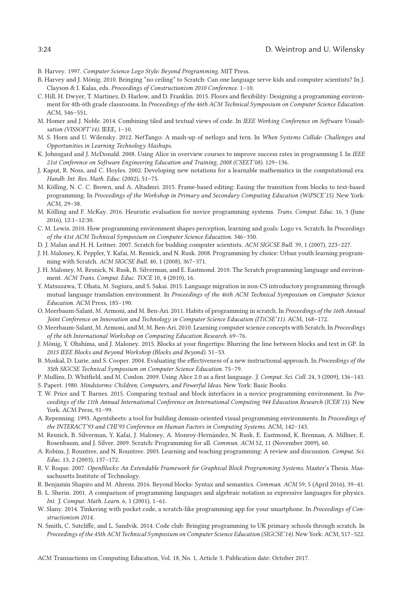- <span id="page-23-0"></span>B. Harvey. 1997. *Computer Science Logo Style: Beyond Programming*. MIT Press.
- B. Harvey and J. Mönig. 2010. Bringing "no ceiling" to Scratch: Can one language serve kids and computer scientists? In J. Clayson & I. Kalas, eds. *Proceedings of Constructionism 2010 Conference*. 1–10.
- C. Hill, H. Dwyer, T. Martinez, D. Harlow, and D. Franklin. 2015. Floors and fexibility: Designing a programming environment for 4th-6th grade classrooms. In *Proceedings of the 46th ACM Technical Symposium on Computer Science Education*. ACM, 546–551.
- M. Homer and J. Noble. 2014. Combining tiled and textual views of code. In *IEEE Working Conference on Software Visualisation (VISSOFT'14)*. IEEE, 1–10.
- M. S. Horn and U. Wilensky. 2012. NetTango: A mash-up of netlogo and tern. In *When Systems Collide: Challenges and Opportunities in Learning Technology Mashups*.
- K. Johnsgard and J. McDonald. 2008. Using Alice in overview courses to improve success rates in programming I. In *IEEE 21st Conference on Software Engineering Education and Training, 2008 (CSEET'08)*. 129–136.
- J. Kaput, R. Noss, and C. Hoyles. 2002. Developing new notations for a learnable mathematics in the computational era. *Handb. Int. Res. Math. Educ.* (2002), 51–75.
- M. Kölling, N. C. C. Brown, and A. Altadmri. 2015. Frame-based editing: Easing the transition from blocks to text-based programming. In *Proceedings of the Workshop in Primary and Secondary Computing Education (WiPSCE'15)*. New York: ACM, 29–38.
- M. Kölling and F. McKay. 2016. Heuristic evaluation for novice programming systems. *Trans. Comput. Educ.* 16, 3 (June 2016), 12:1–12:30.
- C. M. Lewis. 2010. How programming environment shapes perception, learning and goals: Logo vs. Scratch. In *Proceedings of the 41st ACM Technical Symposium on Computer Science Education.* 346–350.
- D. J. Malan and H. H. Leitner. 2007. Scratch for budding computer scientists. *ACM SIGCSE Bull*. 39, 1 (2007), 223–227.
- J. H. Maloney, K. Peppler, Y. Kafai, M. Resnick, and N. Rusk. 2008. Programming by choice: Urban youth learning programming with Scratch. *ACM SIGCSE Bull*. 40, 1 (2008), 367–371.
- J. H. Maloney, M. Resnick, N. Rusk, B. Silverman, and E. Eastmond. 2010. The Scratch programming language and environment. *ACM Trans. Comput. Educ. TOCE* 10, 4 (2010), 16.
- Y. Matsuzawa, T. Ohata, M. Sugiura, and S. Sakai. 2015. Language migration in non-CS introductory programming through mutual language translation environment. In *Proceedings of the 46th ACM Technical Symposium on Computer Science Education*. ACM Press, 185–190.
- O. Meerbaum-Salant, M. Armoni, and M. Ben-Ari. 2011. Habits of programming in scratch. In *Proceedings of the 16th Annual Joint Conference on Innovation and Technology in Computer Science Education (ITiCSE'11)*. ACM, 168–172.
- O. Meerbaum-Salant, M. Armoni, and M. M. Ben-Ari. 2010. Learning computer science concepts with Scratch. In *Proceedings of the 6th International Workshop on Computing Education Research*. 69–76.
- J. Mönig, Y. Ohshima, and J. Maloney. 2015. Blocks at your fngertips: Blurring the line between blocks and text in GP. In *2015 IEEE Blocks and Beyond Workshop (Blocks and Beyond)*. 51–53.
- B. Moskal, D. Lurie, and S. Cooper. 2004. Evaluating the efectiveness of a new instructional approach. In *Proceedings of the 35th SIGCSE Technical Symposium on Computer Science Education*. 75–79.
- P. Mullins, D. Whitfeld, and M. Conlon. 2009. Using Alice 2.0 as a frst language. *J. Comput. Sci. Coll.* 24, 3 (2009), 136–143.
- S. Papert. 1980. *Mindstorms: Children, Computers, and Powerful Ideas*. New York: Basic Books.
- T. W. Price and T. Barnes. 2015. Comparing textual and block interfaces in a novice programming environment. In *Proceedings of the 11th Annual International Conference on International Computing 944 Education Research (ICER'15)*. New York. ACM Press, 91–99.
- A. Repenning. 1993. Agentsheets: a tool for building domain-oriented visual programming environments. In *Proceedings of the INTERACT'93 and CHI'93 Conference on Human Factors in Computing Systems*. ACM, 142–143.
- M. Resnick, B. Silverman, Y. Kafai, J. Maloney, A. Monroy-Hernández, N. Rusk, E. Eastmond, K. Brennan, A. Millner, E. Rosenbaum, and J. Silver. 2009. Scratch: Programming for all. *Commun. ACM* 52, 11 (November 2009), 60.
- A. Robins, J. Rountree, and N. Rountree. 2003. Learning and teaching programming: A review and discussion. *Comput. Sci. Educ.* 13, 2 (2003), 137–172.
- R. V. Roque. 2007. *OpenBlocks: An Extendable Framework for Graphical Block Programming Systems*. Master's Thesis. Massachusetts Institute of Technology.
- R. Benjamin Shapiro and M. Ahrens. 2016. Beyond blocks: Syntax and semantics. *Commun. ACM* 59, 5 (April 2016), 39–41.
- B. L. Sherin. 2001. A comparison of programming languages and algebraic notation as expressive languages for physics. *Int. J. Comput. Math. Learn.* 6, 1 (2001), 1–61.
- W. Slany. 2014. Tinkering with pocket code, a scratch-like programming app for your smartphone. In *Proceedings of Constructionism 2014*.
- N. Smith, C. Sutclife, and L. Sandvik. 2014. Code club: Bringing programming to UK primary schools through scratch. In *Proceedings of the 45th ACM Technical Symposium on Computer Science Education (SIGCSE'14)*. New York: ACM, 517–522.

ACM Transactions on Computing Education, Vol. 18, No. 1, Article 3. Publication date: October 2017.